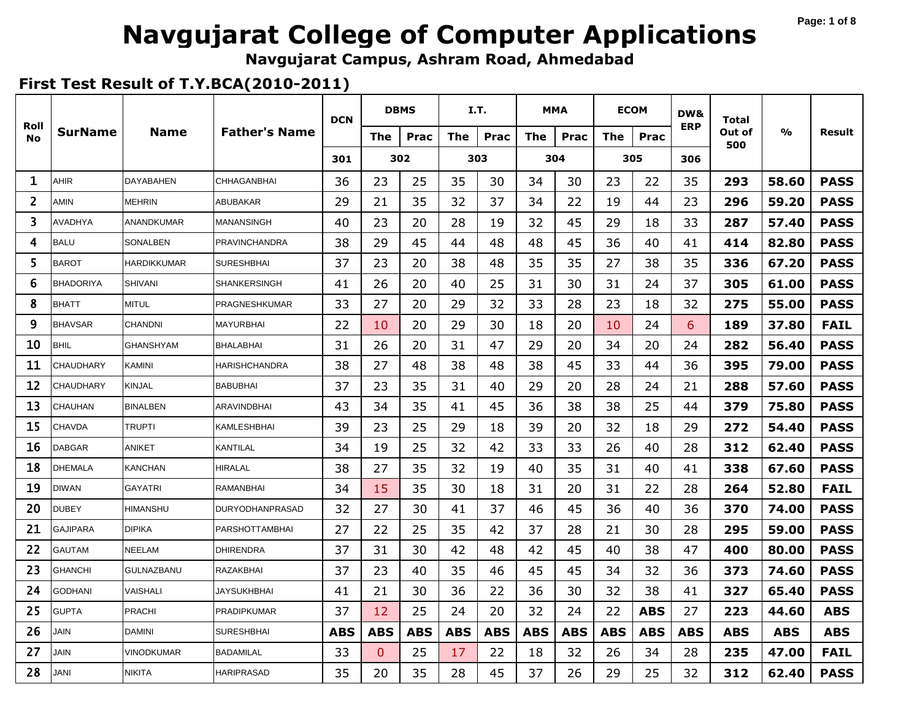#### **Page: 1 of 8**

# **Navgujarat College of Computer Applications**

**Navgujarat Campus, Ashram Road, Ahmedabad**

|                   |                  |                    |                       | <b>DCN</b> |                | <b>DBMS</b> |            | I.T.       |            | <b>MMA</b> |            | <b>ECOM</b> | DW&        | <b>Total</b>  |               |             |
|-------------------|------------------|--------------------|-----------------------|------------|----------------|-------------|------------|------------|------------|------------|------------|-------------|------------|---------------|---------------|-------------|
| Roll<br><b>No</b> | <b>SurName</b>   | <b>Name</b>        | <b>Father's Name</b>  |            | The            | <b>Prac</b> | <b>The</b> | Prac       | <b>The</b> | Prac       | <b>The</b> | Prac        | <b>ERP</b> | Out of<br>500 | $\frac{0}{0}$ | Result      |
|                   |                  |                    |                       | 301        |                | 302         |            | 303        |            | 304        |            | 305         | 306        |               |               |             |
| 1                 | AHIR             | <b>DAYABAHEN</b>   | <b>CHHAGANBHAI</b>    | 36         | 23             | 25          | 35         | 30         | 34         | 30         | 23         | 22          | 35         | 293           | 58.60         | <b>PASS</b> |
| $\overline{2}$    | AMIN             | <b>MEHRIN</b>      | ABUBAKAR              | 29         | 21             | 35          | 32         | 37         | 34         | 22         | 19         | 44          | 23         | 296           | 59.20         | <b>PASS</b> |
| 3                 | <b>AVADHYA</b>   | ANANDKUMAR         | MANANSINGH            | 40         | 23             | 20          | 28         | 19         | 32         | 45         | 29         | 18          | 33         | 287           | 57.40         | <b>PASS</b> |
| 4                 | <b>BALU</b>      | SONALBEN           | PRAVINCHANDRA         | 38         | 29             | 45          | 44         | 48         | 48         | 45         | 36         | 40          | 41         | 414           | 82.80         | <b>PASS</b> |
| 5                 | <b>BAROT</b>     | <b>HARDIKKUMAR</b> | <b>SURESHBHAI</b>     | 37         | 23             | 20          | 38         | 48         | 35         | 35         | 27         | 38          | 35         | 336           | 67.20         | <b>PASS</b> |
| 6                 | <b>BHADORIYA</b> | <b>SHIVANI</b>     | <b>SHANKERSINGH</b>   | 41         | 26             | 20          | 40         | 25         | 31         | 30         | 31         | 24          | 37         | 305           | 61.00         | <b>PASS</b> |
| 8                 | <b>BHATT</b>     | <b>MITUL</b>       | PRAGNESHKUMAR         | 33         | 27             | 20          | 29         | 32         | 33         | 28         | 23         | 18          | 32         | 275           | 55.00         | <b>PASS</b> |
| 9                 | <b>BHAVSAR</b>   | <b>CHANDNI</b>     | <b>MAYURBHAI</b>      | 22         | 10             | 20          | 29         | 30         | 18         | 20         | 10         | 24          | 6          | 189           | 37.80         | <b>FAIL</b> |
| 10                | <b>BHIL</b>      | <b>GHANSHYAM</b>   | BHALABHAI             | 31         | 26             | 20          | 31         | 47         | 29         | 20         | 34         | 20          | 24         | 282           | 56.40         | <b>PASS</b> |
| 11                | <b>CHAUDHARY</b> | <b>KAMINI</b>      | HARISHCHANDRA         | 38         | 27             | 48          | 38         | 48         | 38         | 45         | 33         | 44          | 36         | 395           | 79.00         | <b>PASS</b> |
| 12                | <b>CHAUDHARY</b> | <b>KINJAL</b>      | <b>BABUBHAI</b>       | 37         | 23             | 35          | 31         | 40         | 29         | 20         | 28         | 24          | 21         | 288           | 57.60         | <b>PASS</b> |
| 13                | <b>CHAUHAN</b>   | <b>BINALBEN</b>    | <b>ARAVINDBHAI</b>    | 43         | 34             | 35          | 41         | 45         | 36         | 38         | 38         | 25          | 44         | 379           | 75.80         | <b>PASS</b> |
| 15                | CHAVDA           | <b>TRUPTI</b>      | KAMLESHBHAI           | 39         | 23             | 25          | 29         | 18         | 39         | 20         | 32         | 18          | 29         | 272           | 54.40         | <b>PASS</b> |
| 16                | <b>DABGAR</b>    | <b>ANIKET</b>      | KANTILAL              | 34         | 19             | 25          | 32         | 42         | 33         | 33         | 26         | 40          | 28         | 312           | 62.40         | <b>PASS</b> |
| 18                | <b>DHEMALA</b>   | <b>KANCHAN</b>     | HIRALAL               | 38         | 27             | 35          | 32         | 19         | 40         | 35         | 31         | 40          | 41         | 338           | 67.60         | <b>PASS</b> |
| 19                | <b>DIWAN</b>     | <b>GAYATRI</b>     | <b>RAMANBHAI</b>      | 34         | 15             | 35          | 30         | 18         | 31         | 20         | 31         | 22          | 28         | 264           | 52.80         | <b>FAIL</b> |
| 20                | <b>DUBEY</b>     | <b>HIMANSHU</b>    | DURYODHANPRASAD       | 32         | 27             | 30          | 41         | 37         | 46         | 45         | 36         | 40          | 36         | 370           | 74.00         | <b>PASS</b> |
| 21                | <b>GAJIPARA</b>  | <b>DIPIKA</b>      | <b>PARSHOTTAMBHAI</b> | 27         | 22             | 25          | 35         | 42         | 37         | 28         | 21         | 30          | 28         | 295           | 59.00         | <b>PASS</b> |
| 22                | <b>GAUTAM</b>    | NEELAM             | <b>DHIRENDRA</b>      | 37         | 31             | 30          | 42         | 48         | 42         | 45         | 40         | 38          | 47         | 400           | 80.00         | <b>PASS</b> |
| 23                | <b>GHANCHI</b>   | GULNAZBANU         | RAZAKBHAI             | 37         | 23             | 40          | 35         | 46         | 45         | 45         | 34         | 32          | 36         | 373           | 74.60         | <b>PASS</b> |
| 24                | <b>GODHANI</b>   | VAISHALI           | JAYSUKHBHAI           | 41         | 21             | 30          | 36         | 22         | 36         | 30         | 32         | 38          | 41         | 327           | 65.40         | <b>PASS</b> |
| 25                | <b>GUPTA</b>     | <b>PRACHI</b>      | <b>PRADIPKUMAR</b>    | 37         | 12             | 25          | 24         | 20         | 32         | 24         | 22         | ABS         | 27         | 223           | 44.60         | <b>ABS</b>  |
| 26                | JAIN             | <b>DAMINI</b>      | <b>SURESHBHAI</b>     | <b>ABS</b> | <b>ABS</b>     | <b>ABS</b>  | <b>ABS</b> | <b>ABS</b> | <b>ABS</b> | <b>ABS</b> | <b>ABS</b> | <b>ABS</b>  | <b>ABS</b> | <b>ABS</b>    | <b>ABS</b>    | <b>ABS</b>  |
| 27                | <b>JAIN</b>      | <b>VINODKUMAR</b>  | BADAMILAL             | 33         | $\overline{0}$ | 25          | 17         | 22         | 18         | 32         | 26         | 34          | 28         | 235           | 47.00         | <b>FAIL</b> |
| 28                | JANI             | <b>NIKITA</b>      | <b>HARIPRASAD</b>     | 35         | 20             | 35          | 28         | 45         | 37         | 26         | 29         | 25          | 32         | 312           | 62.40         | <b>PASS</b> |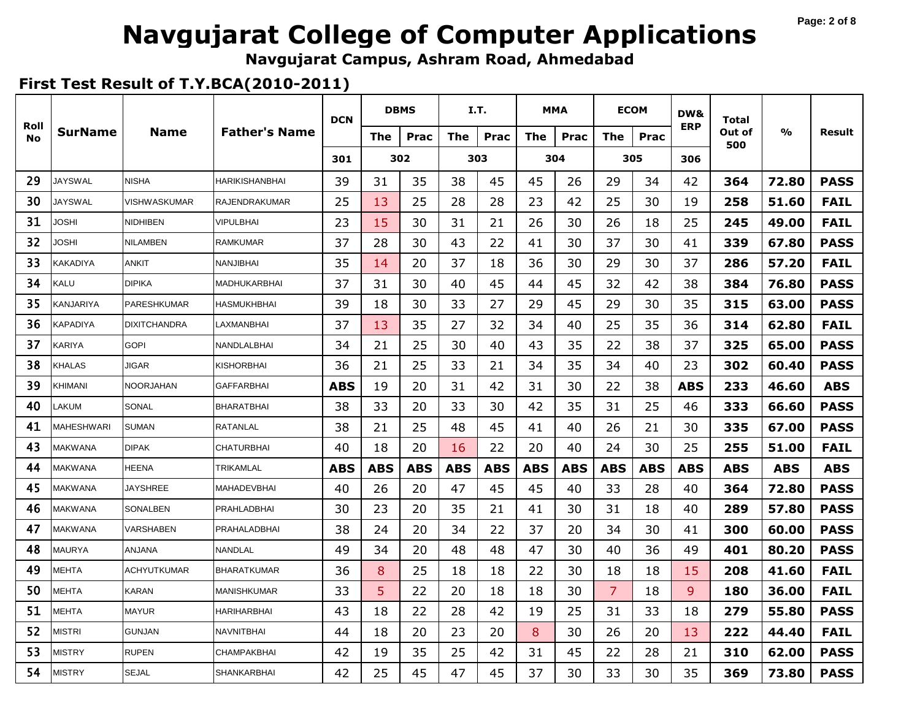#### **Page: 2 of 8**

# **Navgujarat College of Computer Applications**

**Navgujarat Campus, Ashram Road, Ahmedabad**

|                   |                   |                     |                      | <b>DCN</b> |     | <b>DBMS</b> |     | I.T.       |            | <b>MMA</b> | <b>ECOM</b>    |      | DW&        | Total         |       |             |
|-------------------|-------------------|---------------------|----------------------|------------|-----|-------------|-----|------------|------------|------------|----------------|------|------------|---------------|-------|-------------|
| Roll<br><b>No</b> | <b>SurName</b>    | <b>Name</b>         | <b>Father's Name</b> |            | The | Prac        | The | Prac       | <b>The</b> | Prac       | <b>The</b>     | Prac | <b>ERP</b> | Out of<br>500 | %     | Result      |
|                   |                   |                     |                      | 301        |     | 302         |     | 303        |            | 304        |                | 305  | 306        |               |       |             |
| 29                | <b>JAYSWAL</b>    | <b>NISHA</b>        | HARIKISHANBHAI       | 39         | 31  | 35          | 38  | 45         | 45         | 26         | 29             | 34   | 42         | 364           | 72.80 | <b>PASS</b> |
| 30                | <b>JAYSWAL</b>    | VISHWASKUMAR        | RAJENDRAKUMAR        | 25         | 13  | 25          | 28  | 28         | 23         | 42         | 25             | 30   | 19         | 258           | 51.60 | <b>FAIL</b> |
| 31                | <b>JOSHI</b>      | <b>NIDHIBEN</b>     | <b>VIPULBHAI</b>     | 23         | 15  | 30          | 31  | 21         | 26         | 30         | 26             | 18   | 25         | 245           | 49.00 | <b>FAIL</b> |
| 32                | JOSHI             | <b>NILAMBEN</b>     | <b>RAMKUMAR</b>      | 37         | 28  | 30          | 43  | 22         | 41         | 30         | 37             | 30   | 41         | 339           | 67.80 | <b>PASS</b> |
| 33                | <b>KAKADIYA</b>   | <b>ANKIT</b>        | <b>NANJIBHAI</b>     | 35         | 14  | 20          | 37  | 18         | 36         | 30         | 29             | 30   | 37         | 286           | 57.20 | <b>FAIL</b> |
| 34                | KALU              | <b>DIPIKA</b>       | MADHUKARBHAI         | 37         | 31  | 30          | 40  | 45         | 44         | 45         | 32             | 42   | 38         | 384           | 76.80 | <b>PASS</b> |
| 35                | <b>KANJARIYA</b>  | <b>PARESHKUMAR</b>  | HASMUKHBHAI          | 39         | 18  | 30          | 33  | 27         | 29         | 45         | 29             | 30   | 35         | 315           | 63.00 | <b>PASS</b> |
| 36                | KAPADIYA          | <b>DIXITCHANDRA</b> | LAXMANBHAI           | 37         | 13  | 35          | 27  | 32         | 34         | 40         | 25             | 35   | 36         | 314           | 62.80 | <b>FAIL</b> |
| 37                | KARIYA            | <b>GOPI</b>         | NANDLALBHAI          | 34         | 21  | 25          | 30  | 40         | 43         | 35         | 22             | 38   | 37         | 325           | 65.00 | <b>PASS</b> |
| 38                | <b>KHALAS</b>     | JIGAR               | KISHORBHAI           | 36         | 21  | 25          | 33  | 21         | 34         | 35         | 34             | 40   | 23         | 302           | 60.40 | <b>PASS</b> |
| 39                | KHIMANI           | <b>NOORJAHAN</b>    | GAFFARBHAI           | <b>ABS</b> | 19  | 20          | 31  | 42         | 31         | 30         | 22             | 38   | <b>ABS</b> | 233           | 46.60 | <b>ABS</b>  |
| 40                | LAKUM             | SONAL               | <b>BHARATBHAI</b>    | 38         | 33  | 20          | 33  | 30         | 42         | 35         | 31             | 25   | 46         | 333           | 66.60 | <b>PASS</b> |
| 41                | <b>MAHESHWARI</b> | <b>SUMAN</b>        | RATANLAL             | 38         | 21  | 25          | 48  | 45         | 41         | 40         | 26             | 21   | 30         | 335           | 67.00 | <b>PASS</b> |
| 43                | <b>MAKWANA</b>    | <b>DIPAK</b>        | <b>CHATURBHAI</b>    | 40         | 18  | 20          | 16  | 22         | 20         | 40         | 24             | 30   | 25         | 255           | 51.00 | <b>FAIL</b> |
| 44                | <b>MAKWANA</b>    | <b>HEENA</b>        | TRIKAMLAL            | <b>ABS</b> | ABS | ABS         | ABS | <b>ABS</b> | ABS        | ABS        | ABS            | ABS  | <b>ABS</b> | <b>ABS</b>    | ABS   | <b>ABS</b>  |
| 45                | <b>MAKWANA</b>    | <b>JAYSHREE</b>     | MAHADEVBHAI          | 40         | 26  | 20          | 47  | 45         | 45         | 40         | 33             | 28   | 40         | 364           | 72.80 | <b>PASS</b> |
| 46                | MAKWANA           | SONALBEN            | PRAHLADBHAI          | 30         | 23  | 20          | 35  | 21         | 41         | 30         | 31             | 18   | 40         | 289           | 57.80 | <b>PASS</b> |
| 47                | <b>MAKWANA</b>    | VARSHABEN           | PRAHALADBHAI         | 38         | 24  | 20          | 34  | 22         | 37         | 20         | 34             | 30   | 41         | 300           | 60.00 | <b>PASS</b> |
| 48                | <b>MAURYA</b>     | ANJANA              | NANDLAL              | 49         | 34  | 20          | 48  | 48         | 47         | 30         | 40             | 36   | 49         | 401           | 80.20 | <b>PASS</b> |
| 49                | <b>MEHTA</b>      | <b>ACHYUTKUMAR</b>  | <b>BHARATKUMAR</b>   | 36         | 8   | 25          | 18  | 18         | 22         | 30         | 18             | 18   | 15         | 208           | 41.60 | <b>FAIL</b> |
| 50                | <b>MEHTA</b>      | <b>KARAN</b>        | <b>MANISHKUMAR</b>   | 33         | 5   | 22          | 20  | 18         | 18         | 30         | $\overline{7}$ | 18   | 9          | 180           | 36.00 | <b>FAIL</b> |
| 51                | <b>MEHTA</b>      | <b>MAYUR</b>        | HARIHARBHAI          | 43         | 18  | 22          | 28  | 42         | 19         | 25         | 31             | 33   | 18         | 279           | 55.80 | <b>PASS</b> |
| 52                | MISTRI            | <b>GUNJAN</b>       | NAVNITBHAI           | 44         | 18  | 20          | 23  | 20         | 8          | 30         | 26             | 20   | 13         | 222           | 44.40 | <b>FAIL</b> |
| 53                | MISTRY            | <b>RUPEN</b>        | CHAMPAKBHAI          | 42         | 19  | 35          | 25  | 42         | 31         | 45         | 22             | 28   | 21         | 310           | 62.00 | <b>PASS</b> |
| 54                | <b>MISTRY</b>     | <b>SEJAL</b>        | SHANKARBHAI          | 42         | 25  | 45          | 47  | 45         | 37         | 30         | 33             | 30   | 35         | 369           | 73.80 | <b>PASS</b> |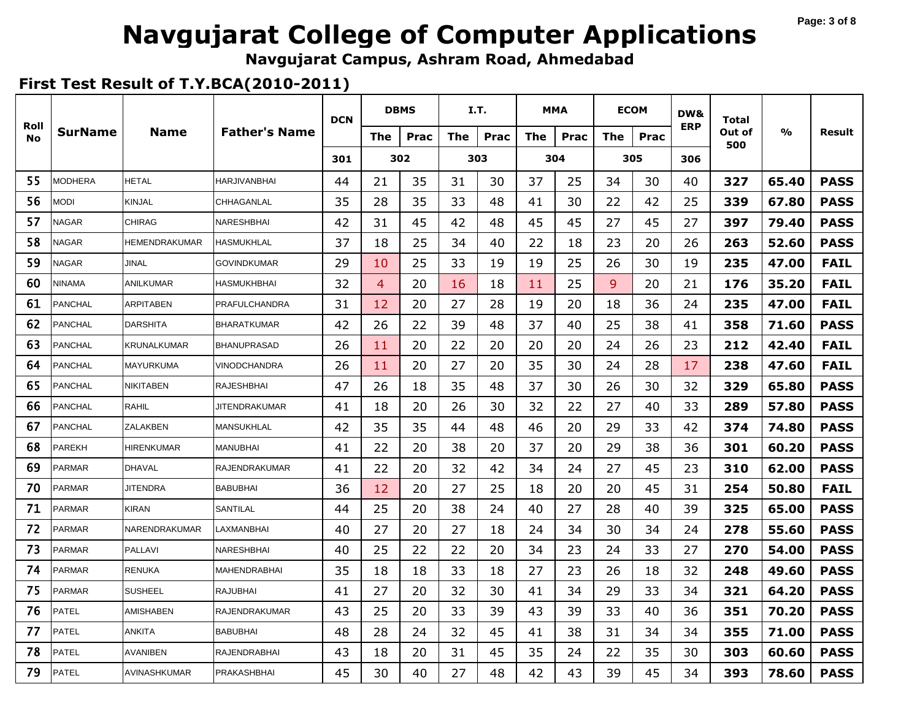#### **Page: 3 of 8**

# **Navgujarat College of Computer Applications**

**Navgujarat Campus, Ashram Road, Ahmedabad**

|                   |                |                    |                      | <b>DCN</b> |                | <b>DBMS</b> |            | I.T. |            | <b>MMA</b> |            | <b>ECOM</b> | DW&        | <b>Total</b>  |               |             |
|-------------------|----------------|--------------------|----------------------|------------|----------------|-------------|------------|------|------------|------------|------------|-------------|------------|---------------|---------------|-------------|
| Roll<br><b>No</b> | <b>SurName</b> | <b>Name</b>        | <b>Father's Name</b> |            | The            | <b>Prac</b> | <b>The</b> | Prac | <b>The</b> | Prac       | <b>The</b> | Prac        | <b>ERP</b> | Out of<br>500 | $\frac{6}{6}$ | Result      |
|                   |                |                    |                      | 301        |                | 302         |            | 303  |            | 304        |            | 305         | 306        |               |               |             |
| 55                | <b>MODHERA</b> | <b>HETAL</b>       | <b>HARJIVANBHAI</b>  | 44         | 21             | 35          | 31         | 30   | 37         | 25         | 34         | 30          | 40         | 327           | 65.40         | <b>PASS</b> |
| 56                | MODI           | <b>KINJAL</b>      | CHHAGANLAL           | 35         | 28             | 35          | 33         | 48   | 41         | 30         | 22         | 42          | 25         | 339           | 67.80         | <b>PASS</b> |
| 57                | NAGAR          | <b>CHIRAG</b>      | NARESHBHAI           | 42         | 31             | 45          | 42         | 48   | 45         | 45         | 27         | 45          | 27         | 397           | 79.40         | <b>PASS</b> |
| 58                | NAGAR          | HEMENDRAKUMAR      | <b>HASMUKHLAL</b>    | 37         | 18             | 25          | 34         | 40   | 22         | 18         | 23         | 20          | 26         | 263           | 52.60         | <b>PASS</b> |
| 59                | NAGAR          | <b>JINAL</b>       | <b>GOVINDKUMAR</b>   | 29         | 10             | 25          | 33         | 19   | 19         | 25         | 26         | 30          | 19         | 235           | 47.00         | <b>FAIL</b> |
| 60                | <b>NINAMA</b>  | <b>ANILKUMAR</b>   | HASMUKHBHAI          | 32         | $\overline{4}$ | 20          | 16         | 18   | 11         | 25         | 9          | 20          | 21         | 176           | 35.20         | <b>FAIL</b> |
| 61                | <b>PANCHAL</b> | <b>ARPITABEN</b>   | PRAFULCHANDRA        | 31         | 12             | 20          | 27         | 28   | 19         | 20         | 18         | 36          | 24         | 235           | 47.00         | <b>FAIL</b> |
| 62                | <b>PANCHAL</b> | <b>DARSHITA</b>    | <b>BHARATKUMAR</b>   | 42         | 26             | 22          | 39         | 48   | 37         | 40         | 25         | 38          | 41         | 358           | 71.60         | <b>PASS</b> |
| 63                | PANCHAL        | <b>KRUNALKUMAR</b> | <b>BHANUPRASAD</b>   | 26         | 11             | 20          | 22         | 20   | 20         | 20         | 24         | 26          | 23         | 212           | 42.40         | <b>FAIL</b> |
| 64                | <b>PANCHAL</b> | <b>MAYURKUMA</b>   | <b>VINODCHANDRA</b>  | 26         | 11             | 20          | 27         | 20   | 35         | 30         | 24         | 28          | 17         | 238           | 47.60         | <b>FAIL</b> |
| 65                | <b>PANCHAL</b> | <b>NIKITABEN</b>   | <b>RAJESHBHAI</b>    | 47         | 26             | 18          | 35         | 48   | 37         | 30         | 26         | 30          | 32         | 329           | 65.80         | <b>PASS</b> |
| 66                | <b>PANCHAL</b> | <b>RAHIL</b>       | <b>JITENDRAKUMAR</b> | 41         | 18             | 20          | 26         | 30   | 32         | 22         | 27         | 40          | 33         | 289           | 57.80         | <b>PASS</b> |
| 67                | <b>PANCHAL</b> | ZALAKBEN           | MANSUKHLAL           | 42         | 35             | 35          | 44         | 48   | 46         | 20         | 29         | 33          | 42         | 374           | 74.80         | <b>PASS</b> |
| 68                | <b>PAREKH</b>  | <b>HIRENKUMAR</b>  | <b>MANUBHAI</b>      | 41         | 22             | 20          | 38         | 20   | 37         | 20         | 29         | 38          | 36         | 301           | 60.20         | <b>PASS</b> |
| 69                | <b>PARMAR</b>  | <b>DHAVAL</b>      | RAJENDRAKUMAR        | 41         | 22             | 20          | 32         | 42   | 34         | 24         | 27         | 45          | 23         | 310           | 62.00         | <b>PASS</b> |
| 70                | <b>PARMAR</b>  | <b>JITENDRA</b>    | <b>BABUBHAI</b>      | 36         | 12             | 20          | 27         | 25   | 18         | 20         | 20         | 45          | 31         | 254           | 50.80         | <b>FAIL</b> |
| 71                | <b>PARMAR</b>  | <b>KIRAN</b>       | SANTILAL             | 44         | 25             | 20          | 38         | 24   | 40         | 27         | 28         | 40          | 39         | 325           | 65.00         | <b>PASS</b> |
| 72                | <b>PARMAR</b>  | NARENDRAKUMAR      | LAXMANBHAI           | 40         | 27             | 20          | 27         | 18   | 24         | 34         | 30         | 34          | 24         | 278           | 55.60         | <b>PASS</b> |
| 73                | <b>PARMAR</b>  | <b>PALLAVI</b>     | NARESHBHAI           | 40         | 25             | 22          | 22         | 20   | 34         | 23         | 24         | 33          | 27         | 270           | 54.00         | <b>PASS</b> |
| 74                | <b>PARMAR</b>  | <b>RENUKA</b>      | MAHENDRABHAI         | 35         | 18             | 18          | 33         | 18   | 27         | 23         | 26         | 18          | 32         | 248           | 49.60         | <b>PASS</b> |
| 75                | <b>PARMAR</b>  | <b>SUSHEEL</b>     | <b>RAJUBHAI</b>      | 41         | 27             | 20          | 32         | 30   | 41         | 34         | 29         | 33          | 34         | 321           | 64.20         | <b>PASS</b> |
| 76                | <b>PATEL</b>   | <b>AMISHABEN</b>   | <b>RAJENDRAKUMAR</b> | 43         | 25             | 20          | 33         | 39   | 43         | 39         | 33         | 40          | 36         | 351           | 70.20         | <b>PASS</b> |
| 77                | <b>PATEL</b>   | ANKITA             | <b>BABUBHAI</b>      | 48         | 28             | 24          | 32         | 45   | 41         | 38         | 31         | 34          | 34         | 355           | 71.00         | <b>PASS</b> |
| 78                | <b>PATEL</b>   | AVANIBEN           | RAJENDRABHAI         | 43         | 18             | 20          | 31         | 45   | 35         | 24         | 22         | 35          | 30         | 303           | 60.60         | <b>PASS</b> |
| 79                | <b>PATEL</b>   | AVINASHKUMAR       | PRAKASHBHAI          | 45         | 30             | 40          | 27         | 48   | 42         | 43         | 39         | 45          | 34         | 393           | 78.60         | <b>PASS</b> |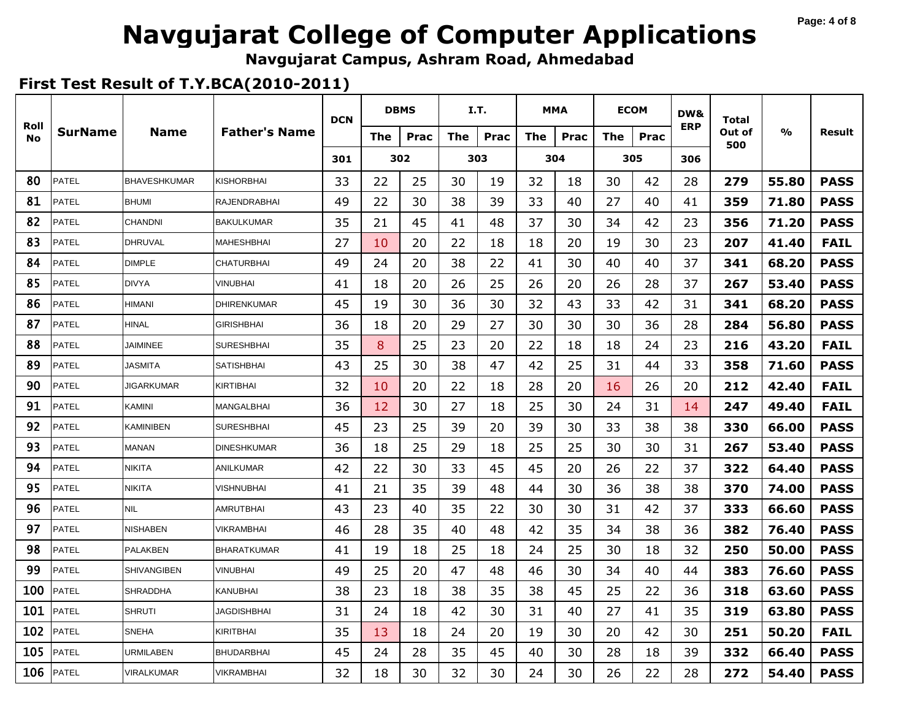#### **Page: 4 of 8**

# **Navgujarat College of Computer Applications**

**Navgujarat Campus, Ashram Road, Ahmedabad**

|                   |                |                     |                      | <b>DCN</b> |     | <b>DBMS</b> |     | I.T. |            | <b>MMA</b> |            | <b>ECOM</b> | DW&        | Total         |       |             |
|-------------------|----------------|---------------------|----------------------|------------|-----|-------------|-----|------|------------|------------|------------|-------------|------------|---------------|-------|-------------|
| Roll<br><b>No</b> | <b>SurName</b> | <b>Name</b>         | <b>Father's Name</b> |            | The | Prac        | The | Prac | <b>The</b> | Prac       | <b>The</b> | Prac        | <b>ERP</b> | Out of<br>500 | %     | Result      |
|                   |                |                     |                      | 301        |     | 302         |     | 303  |            | 304        |            | 305         | 306        |               |       |             |
| 80                | <b>PATEL</b>   | <b>BHAVESHKUMAR</b> | KISHORBHAI           | 33         | 22  | 25          | 30  | 19   | 32         | 18         | 30         | 42          | 28         | 279           | 55.80 | <b>PASS</b> |
| 81                | <b>PATEL</b>   | <b>BHUMI</b>        | RAJENDRABHAI         | 49         | 22  | 30          | 38  | 39   | 33         | 40         | 27         | 40          | 41         | 359           | 71.80 | <b>PASS</b> |
| 82                | PATEL          | <b>CHANDNI</b>      | <b>BAKULKUMAR</b>    | 35         | 21  | 45          | 41  | 48   | 37         | 30         | 34         | 42          | 23         | 356           | 71.20 | <b>PASS</b> |
| 83                | <b>PATEL</b>   | <b>DHRUVAL</b>      | <b>MAHESHBHAI</b>    | 27         | 10  | 20          | 22  | 18   | 18         | 20         | 19         | 30          | 23         | 207           | 41.40 | <b>FAIL</b> |
| 84                | <b>PATEL</b>   | <b>DIMPLE</b>       | <b>CHATURBHAI</b>    | 49         | 24  | 20          | 38  | 22   | 41         | 30         | 40         | 40          | 37         | 341           | 68.20 | <b>PASS</b> |
| 85                | PATEL          | <b>DIVYA</b>        | VINUBHAI             | 41         | 18  | 20          | 26  | 25   | 26         | 20         | 26         | 28          | 37         | 267           | 53.40 | <b>PASS</b> |
| 86                | <b>PATEL</b>   | <b>HIMANI</b>       | <b>DHIRENKUMAR</b>   | 45         | 19  | 30          | 36  | 30   | 32         | 43         | 33         | 42          | 31         | 341           | 68.20 | <b>PASS</b> |
| 87                | PATEL          | <b>HINAL</b>        | <b>GIRISHBHAI</b>    | 36         | 18  | 20          | 29  | 27   | 30         | 30         | 30         | 36          | 28         | 284           | 56.80 | <b>PASS</b> |
| 88                | PATEL          | <b>JAIMINEE</b>     | <b>SURESHBHAI</b>    | 35         | 8   | 25          | 23  | 20   | 22         | 18         | 18         | 24          | 23         | 216           | 43.20 | <b>FAIL</b> |
| 89                | PATEL          | <b>JASMITA</b>      | SATISHBHAI           | 43         | 25  | 30          | 38  | 47   | 42         | 25         | 31         | 44          | 33         | 358           | 71.60 | <b>PASS</b> |
| 90                | <b>PATEL</b>   | <b>JIGARKUMAR</b>   | KIRTIBHAI            | 32         | 10  | 20          | 22  | 18   | 28         | 20         | 16         | 26          | 20         | 212           | 42.40 | <b>FAIL</b> |
| 91                | PATEL          | <b>KAMINI</b>       | MANGALBHAI           | 36         | 12  | 30          | 27  | 18   | 25         | 30         | 24         | 31          | 14         | 247           | 49.40 | <b>FAIL</b> |
| 92                | <b>PATEL</b>   | KAMINIBEN           | <b>SURESHBHAI</b>    | 45         | 23  | 25          | 39  | 20   | 39         | 30         | 33         | 38          | 38         | 330           | 66.00 | <b>PASS</b> |
| 93                | PATEL          | <b>MANAN</b>        | <b>DINESHKUMAR</b>   | 36         | 18  | 25          | 29  | 18   | 25         | 25         | 30         | 30          | 31         | 267           | 53.40 | <b>PASS</b> |
| 94                | PATEL          | <b>NIKITA</b>       | ANILKUMAR            | 42         | 22  | 30          | 33  | 45   | 45         | 20         | 26         | 22          | 37         | 322           | 64.40 | <b>PASS</b> |
| 95                | PATEL          | <b>NIKITA</b>       | VISHNUBHAI           | 41         | 21  | 35          | 39  | 48   | 44         | 30         | 36         | 38          | 38         | 370           | 74.00 | <b>PASS</b> |
| 96                | <b>PATEL</b>   | <b>NIL</b>          | AMRUTBHAI            | 43         | 23  | 40          | 35  | 22   | 30         | 30         | 31         | 42          | 37         | 333           | 66.60 | <b>PASS</b> |
| 97                | <b>PATEL</b>   | <b>NISHABEN</b>     | VIKRAMBHAI           | 46         | 28  | 35          | 40  | 48   | 42         | 35         | 34         | 38          | 36         | 382           | 76.40 | <b>PASS</b> |
| 98                | <b>PATEL</b>   | <b>PALAKBEN</b>     | BHARATKUMAR          | 41         | 19  | 18          | 25  | 18   | 24         | 25         | 30         | 18          | 32         | 250           | 50.00 | <b>PASS</b> |
| 99                | PATEL          | <b>SHIVANGIBEN</b>  | <b>VINUBHAI</b>      | 49         | 25  | 20          | 47  | 48   | 46         | 30         | 34         | 40          | 44         | 383           | 76.60 | <b>PASS</b> |
| 100               | <b>PATEL</b>   | <b>SHRADDHA</b>     | KANUBHAI             | 38         | 23  | 18          | 38  | 35   | 38         | 45         | 25         | 22          | 36         | 318           | 63.60 | <b>PASS</b> |
| 101               | PATEL          | <b>SHRUTI</b>       | <b>JAGDISHBHAI</b>   | 31         | 24  | 18          | 42  | 30   | 31         | 40         | 27         | 41          | 35         | 319           | 63.80 | <b>PASS</b> |
| 102               | <b>PATEL</b>   | <b>SNEHA</b>        | KIRITBHAI            | 35         | 13  | 18          | 24  | 20   | 19         | 30         | 20         | 42          | 30         | 251           | 50.20 | <b>FAIL</b> |
| 105               | PATEL          | URMILABEN           | BHUDARBHAI           | 45         | 24  | 28          | 35  | 45   | 40         | 30         | 28         | 18          | 39         | 332           | 66.40 | <b>PASS</b> |
| 106               | <b>PATEL</b>   | <b>VIRALKUMAR</b>   | VIKRAMBHAI           | 32         | 18  | 30          | 32  | 30   | 24         | 30         | 26         | 22          | 28         | 272           | 54.40 | <b>PASS</b> |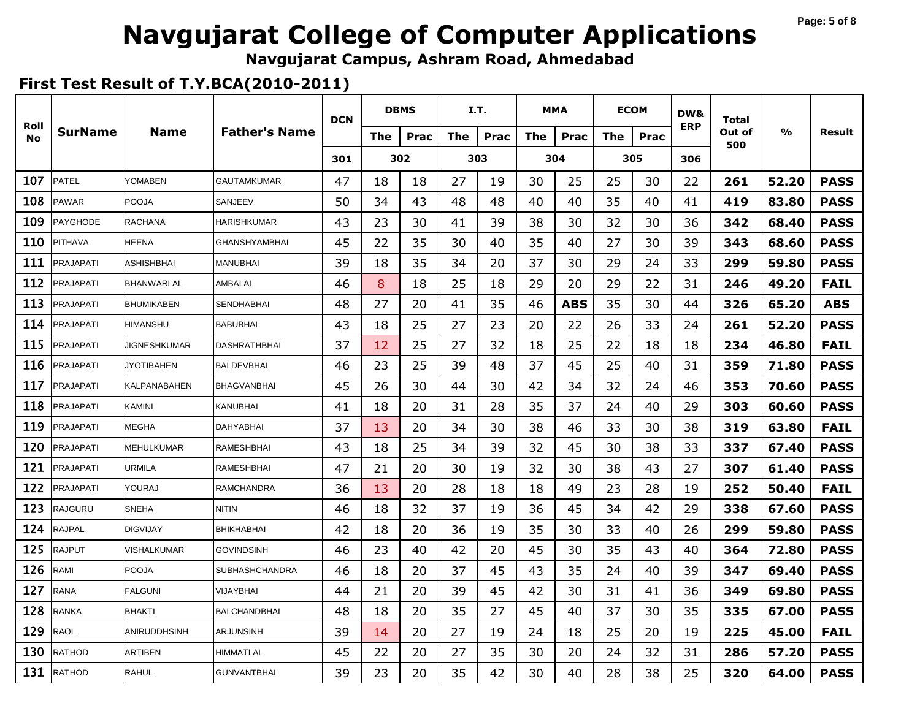#### **Page: 5 of 8**

# **Navgujarat College of Computer Applications**

**Navgujarat Campus, Ashram Road, Ahmedabad**

|                   |                  |                     |                       | <b>DCN</b> |     | <b>DBMS</b> |     | I.T. |            | MMA        |     | <b>ECOM</b> | DW&        | Total         |       |             |
|-------------------|------------------|---------------------|-----------------------|------------|-----|-------------|-----|------|------------|------------|-----|-------------|------------|---------------|-------|-------------|
| Roll<br><b>No</b> | <b>SurName</b>   | <b>Name</b>         | <b>Father's Name</b>  |            | The | Prac        | The | Prac | <b>The</b> | Prac       | The | Prac        | <b>ERP</b> | Out of<br>500 | %     | Result      |
|                   |                  |                     |                       | 301        |     | 302         |     | 303  |            | 304        |     | 305         | 306        |               |       |             |
| 107               | <b>PATEL</b>     | YOMABEN             | <b>GAUTAMKUMAR</b>    | 47         | 18  | 18          | 27  | 19   | 30         | 25         | 25  | 30          | 22         | 261           | 52.20 | <b>PASS</b> |
| 108               | <b>PAWAR</b>     | <b>POOJA</b>        | SANJEEV               | 50         | 34  | 43          | 48  | 48   | 40         | 40         | 35  | 40          | 41         | 419           | 83.80 | <b>PASS</b> |
| 109               | PAYGHODE         | RACHANA             | HARISHKUMAR           | 43         | 23  | 30          | 41  | 39   | 38         | 30         | 32  | 30          | 36         | 342           | 68.40 | <b>PASS</b> |
| 110               | <b>PITHAVA</b>   | <b>HEENA</b>        | <b>GHANSHYAMBHAI</b>  | 45         | 22  | 35          | 30  | 40   | 35         | 40         | 27  | 30          | 39         | 343           | 68.60 | <b>PASS</b> |
| 111               | <b>PRAJAPATI</b> | <b>ASHISHBHAI</b>   | <b>MANUBHAI</b>       | 39         | 18  | 35          | 34  | 20   | 37         | 30         | 29  | 24          | 33         | 299           | 59.80 | <b>PASS</b> |
| 112               | PRAJAPATI        | <b>BHANWARLAL</b>   | AMBALAL               | 46         | 8   | 18          | 25  | 18   | 29         | 20         | 29  | 22          | 31         | 246           | 49.20 | <b>FAIL</b> |
| 113               | <b>PRAJAPATI</b> | <b>BHUMIKABEN</b>   | <b>SENDHABHAI</b>     | 48         | 27  | 20          | 41  | 35   | 46         | <b>ABS</b> | 35  | 30          | 44         | 326           | 65.20 | <b>ABS</b>  |
| 114               | PRAJAPATI        | HIMANSHU            | <b>BABUBHAI</b>       | 43         | 18  | 25          | 27  | 23   | 20         | 22         | 26  | 33          | 24         | 261           | 52.20 | <b>PASS</b> |
| 115               | <b>PRAJAPATI</b> | JIGNESHKUMAR        | <b>DASHRATHBHAI</b>   | 37         | 12  | 25          | 27  | 32   | 18         | 25         | 22  | 18          | 18         | 234           | 46.80 | <b>FAIL</b> |
| 116               | <b>PRAJAPATI</b> | <b>JYOTIBAHEN</b>   | <b>BALDEVBHAI</b>     | 46         | 23  | 25          | 39  | 48   | 37         | 45         | 25  | 40          | 31         | 359           | 71.80 | <b>PASS</b> |
| 117               | <b>PRAJAPATI</b> | <b>KALPANABAHEN</b> | <b>BHAGVANBHAI</b>    | 45         | 26  | 30          | 44  | 30   | 42         | 34         | 32  | 24          | 46         | 353           | 70.60 | <b>PASS</b> |
| 118               | PRAJAPATI        | <b>KAMINI</b>       | <b>KANUBHAI</b>       | 41         | 18  | 20          | 31  | 28   | 35         | 37         | 24  | 40          | 29         | 303           | 60.60 | <b>PASS</b> |
| 119               | PRAJAPATI        | MEGHA               | DAHYABHAI             | 37         | 13  | 20          | 34  | 30   | 38         | 46         | 33  | 30          | 38         | 319           | 63.80 | <b>FAIL</b> |
| 120               | PRAJAPATI        | <b>MEHULKUMAR</b>   | <b>RAMESHBHAI</b>     | 43         | 18  | 25          | 34  | 39   | 32         | 45         | 30  | 38          | 33         | 337           | 67.40 | <b>PASS</b> |
| 121               | PRAJAPATI        | <b>URMILA</b>       | <b>RAMESHBHAI</b>     | 47         | 21  | 20          | 30  | 19   | 32         | 30         | 38  | 43          | 27         | 307           | 61.40 | <b>PASS</b> |
| 122               | PRAJAPATI        | YOURAJ              | <b>RAMCHANDRA</b>     | 36         | 13  | 20          | 28  | 18   | 18         | 49         | 23  | 28          | 19         | 252           | 50.40 | <b>FAIL</b> |
| 123               | <b>RAJGURU</b>   | <b>SNEHA</b>        | <b>NITIN</b>          | 46         | 18  | 32          | 37  | 19   | 36         | 45         | 34  | 42          | 29         | 338           | 67.60 | <b>PASS</b> |
| 124               | RAJPAL           | <b>DIGVIJAY</b>     | <b>BHIKHABHAI</b>     | 42         | 18  | 20          | 36  | 19   | 35         | 30         | 33  | 40          | 26         | 299           | 59.80 | <b>PASS</b> |
| 125               | RAJPUT           | VISHALKUMAR         | <b>GOVINDSINH</b>     | 46         | 23  | 40          | 42  | 20   | 45         | 30         | 35  | 43          | 40         | 364           | 72.80 | <b>PASS</b> |
| 126               | RAMI             | <b>POOJA</b>        | <b>SUBHASHCHANDRA</b> | 46         | 18  | 20          | 37  | 45   | 43         | 35         | 24  | 40          | 39         | 347           | 69.40 | <b>PASS</b> |
| 127               | <b>RANA</b>      | <b>FALGUNI</b>      | <b>VIJAYBHAI</b>      | 44         | 21  | 20          | 39  | 45   | 42         | 30         | 31  | 41          | 36         | 349           | 69.80 | <b>PASS</b> |
| 128               | RANKA            | <b>BHAKTI</b>       | <b>BALCHANDBHAI</b>   | 48         | 18  | 20          | 35  | 27   | 45         | 40         | 37  | 30          | 35         | 335           | 67.00 | <b>PASS</b> |
| 129               | RAOL             | <b>ANIRUDDHSINH</b> | ARJUNSINH             | 39         | 14  | 20          | 27  | 19   | 24         | 18         | 25  | 20          | 19         | 225           | 45.00 | <b>FAIL</b> |
| 130               | RATHOD           | <b>ARTIBEN</b>      | <b>HIMMATLAL</b>      | 45         | 22  | 20          | 27  | 35   | 30         | 20         | 24  | 32          | 31         | 286           | 57.20 | <b>PASS</b> |
| 131               | <b>RATHOD</b>    | <b>RAHUL</b>        | <b>GUNVANTBHAI</b>    | 39         | 23  | 20          | 35  | 42   | 30         | 40         | 28  | 38          | 25         | 320           | 64.00 | <b>PASS</b> |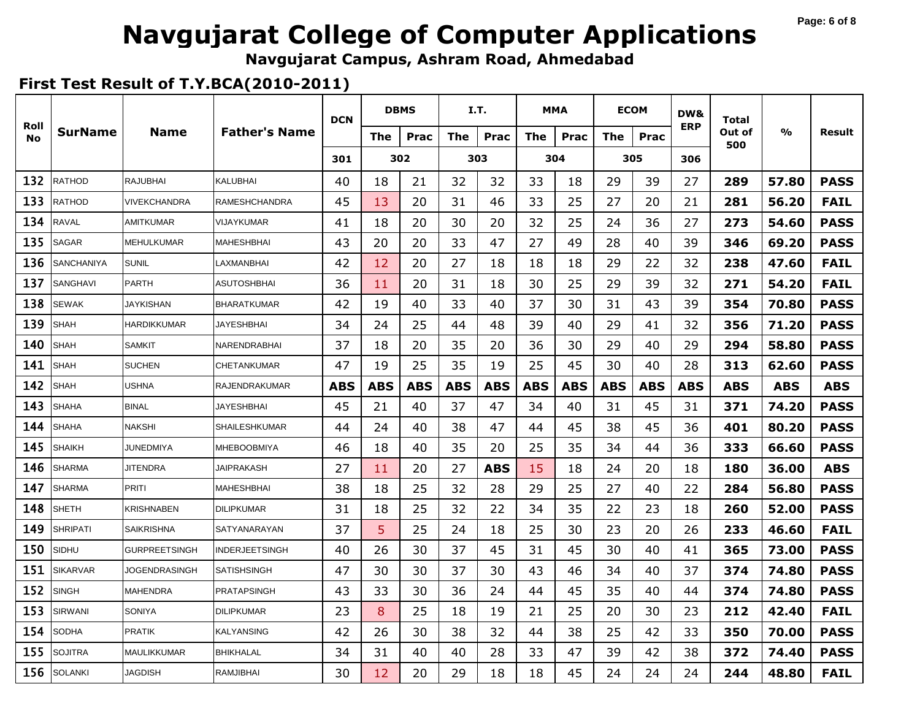# **Navgujarat College of Computer Applications**

**Navgujarat Campus, Ashram Road, Ahmedabad**

|                   |                   |                      |                      | <b>DCN</b> |            | <b>DBMS</b> |            | I.T.       |            | <b>MMA</b> | <b>ECOM</b> |            | DW&        | Total         |       |             |
|-------------------|-------------------|----------------------|----------------------|------------|------------|-------------|------------|------------|------------|------------|-------------|------------|------------|---------------|-------|-------------|
| Roll<br><b>No</b> | SurName           | <b>Name</b>          | <b>Father's Name</b> |            | The        | <b>Prac</b> | The        | Prac       | <b>The</b> | Prac       | <b>The</b>  | Prac       | <b>ERP</b> | Out of<br>500 | %     | Result      |
|                   |                   |                      |                      | 301        |            | 302         |            | 303        |            | 304        | 305         |            | 306        |               |       |             |
| 132               | RATHOD            | <b>RAJUBHAI</b>      | KALUBHAI             | 40         | 18         | 21          | 32         | 32         | 33         | 18         | 29          | 39         | 27         | 289           | 57.80 | <b>PASS</b> |
| 133               | <b>RATHOD</b>     | VIVEKCHANDRA         | RAMESHCHANDRA        | 45         | 13         | 20          | 31         | 46         | 33         | 25         | 27          | 20         | 21         | 281           | 56.20 | <b>FAIL</b> |
| 134               | <b>RAVAL</b>      | <b>AMITKUMAR</b>     | VIJAYKUMAR           | 41         | 18         | 20          | 30         | 20         | 32         | 25         | 24          | 36         | 27         | 273           | 54.60 | <b>PASS</b> |
| 135               | <b>SAGAR</b>      | <b>MEHULKUMAR</b>    | MAHESHBHAI           | 43         | 20         | 20          | 33         | 47         | 27         | 49         | 28          | 40         | 39         | 346           | 69.20 | <b>PASS</b> |
| 136               | <b>SANCHANIYA</b> | <b>SUNIL</b>         | LAXMANBHAI           | 42         | 12         | 20          | 27         | 18         | 18         | 18         | 29          | 22         | 32         | 238           | 47.60 | <b>FAIL</b> |
| 137               | SANGHAVI          | <b>PARTH</b>         | ASUTOSHBHAI          | 36         | 11         | 20          | 31         | 18         | 30         | 25         | 29          | 39         | 32         | 271           | 54.20 | <b>FAIL</b> |
| 138               | <b>SEWAK</b>      | <b>JAYKISHAN</b>     | <b>BHARATKUMAR</b>   | 42         | 19         | 40          | 33         | 40         | 37         | 30         | 31          | 43         | 39         | 354           | 70.80 | <b>PASS</b> |
| 139               | <b>SHAH</b>       | <b>HARDIKKUMAR</b>   | <b>JAYESHBHAI</b>    | 34         | 24         | 25          | 44         | 48         | 39         | 40         | 29          | 41         | 32         | 356           | 71.20 | <b>PASS</b> |
| 140               | <b>SHAH</b>       | <b>SAMKIT</b>        | NARENDRABHAI         | 37         | 18         | 20          | 35         | 20         | 36         | 30         | 29          | 40         | 29         | 294           | 58.80 | <b>PASS</b> |
| 141               | <b>SHAH</b>       | <b>SUCHEN</b>        | CHETANKUMAR          | 47         | 19         | 25          | 35         | 19         | 25         | 45         | 30          | 40         | 28         | 313           | 62.60 | <b>PASS</b> |
| 142               | SHAH              | <b>USHNA</b>         | <b>RAJENDRAKUMAR</b> | <b>ABS</b> | <b>ABS</b> | <b>ABS</b>  | <b>ABS</b> | <b>ABS</b> | ABS        | <b>ABS</b> | <b>ABS</b>  | <b>ABS</b> | <b>ABS</b> | <b>ABS</b>    | ABS   | <b>ABS</b>  |
| 143               | SHAHA             | <b>BINAL</b>         | <b>JAYESHBHAI</b>    | 45         | 21         | 40          | 37         | 47         | 34         | 40         | 31          | 45         | 31         | 371           | 74.20 | <b>PASS</b> |
| 144               | SHAHA             | <b>NAKSHI</b>        | <b>SHAILESHKUMAR</b> | 44         | 24         | 40          | 38         | 47         | 44         | 45         | 38          | 45         | 36         | 401           | 80.20 | <b>PASS</b> |
| 145               | <b>SHAIKH</b>     | JUNEDMIYA            | <b>MHEBOOBMIYA</b>   | 46         | 18         | 40          | 35         | 20         | 25         | 35         | 34          | 44         | 36         | 333           | 66.60 | <b>PASS</b> |
| 146               | <b>SHARMA</b>     | <b>JITENDRA</b>      | <b>JAIPRAKASH</b>    | 27         | 11         | 20          | 27         | <b>ABS</b> | 15         | 18         | 24          | 20         | 18         | 180           | 36.00 | <b>ABS</b>  |
| 147               | <b>SHARMA</b>     | <b>PRITI</b>         | <b>MAHESHBHAI</b>    | 38         | 18         | 25          | 32         | 28         | 29         | 25         | 27          | 40         | 22         | 284           | 56.80 | <b>PASS</b> |
| 148               | <b>SHETH</b>      | KRISHNABEN           | <b>DILIPKUMAR</b>    | 31         | 18         | 25          | 32         | 22         | 34         | 35         | 22          | 23         | 18         | 260           | 52.00 | <b>PASS</b> |
| 149               | <b>SHRIPATI</b>   | <b>SAIKRISHNA</b>    | SATYANARAYAN         | 37         | 5          | 25          | 24         | 18         | 25         | 30         | 23          | 20         | 26         | 233           | 46.60 | <b>FAIL</b> |
| 150               | SIDHU             | <b>GURPREETSINGH</b> | INDERJEETSINGH       | 40         | 26         | 30          | 37         | 45         | 31         | 45         | 30          | 40         | 41         | 365           | 73.00 | <b>PASS</b> |
| 151               | <b>SIKARVAR</b>   | JOGENDRASINGH        | SATISHSINGH          | 47         | 30         | 30          | 37         | 30         | 43         | 46         | 34          | 40         | 37         | 374           | 74.80 | <b>PASS</b> |
| 152               | <b>SINGH</b>      | <b>MAHENDRA</b>      | <b>PRATAPSINGH</b>   | 43         | 33         | 30          | 36         | 24         | 44         | 45         | 35          | 40         | 44         | 374           | 74.80 | <b>PASS</b> |
| 153               | SIRWANI           | <b>SONIYA</b>        | <b>DILIPKUMAR</b>    | 23         | 8          | 25          | 18         | 19         | 21         | 25         | 20          | 30         | 23         | 212           | 42.40 | <b>FAIL</b> |
| 154               | SODHA             | <b>PRATIK</b>        | KALYANSING           | 42         | 26         | 30          | 38         | 32         | 44         | 38         | 25          | 42         | 33         | 350           | 70.00 | <b>PASS</b> |
| 155               | SOJITRA           | <b>MAULIKKUMAR</b>   | BHIKHALAL            | 34         | 31         | 40          | 40         | 28         | 33         | 47         | 39          | 42         | 38         | 372           | 74.40 | <b>PASS</b> |
| 156               | <b>SOLANKI</b>    | <b>JAGDISH</b>       | <b>RAMJIBHAI</b>     | 30         | 12         | 20          | 29         | 18         | 18         | 45         | 24          | 24         | 24         | 244           | 48.80 | <b>FAIL</b> |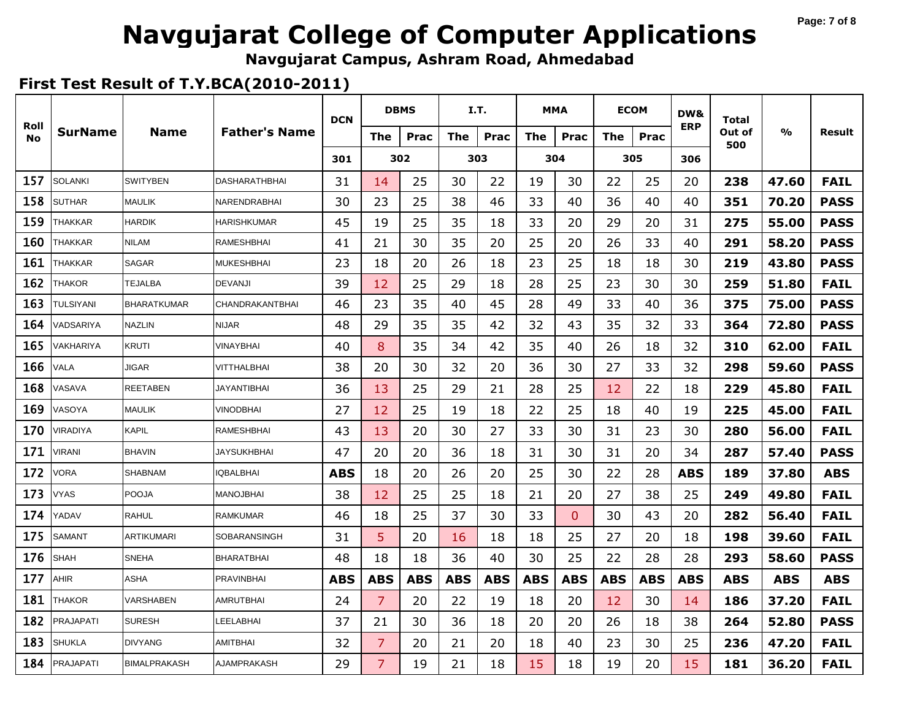#### **Page: 7 of 8**

# **Navgujarat College of Computer Applications**

**Navgujarat Campus, Ashram Road, Ahmedabad**

|                   |                  |                     |                        | <b>DCN</b> |                | <b>DBMS</b> | I.T.       |            | <b>MMA</b> |              | <b>ECOM</b> |            | DW&        | Total         |               |             |
|-------------------|------------------|---------------------|------------------------|------------|----------------|-------------|------------|------------|------------|--------------|-------------|------------|------------|---------------|---------------|-------------|
| Roll<br><b>No</b> | <b>SurName</b>   | <b>Name</b>         | <b>Father's Name</b>   |            | The            | Prac        | The        | Prac       | <b>The</b> | Prac         | The         | Prac       | <b>ERP</b> | Out of<br>500 | $\frac{0}{0}$ | Result      |
|                   |                  |                     |                        | 301        |                | 302         |            | 303        |            | 304          |             | 305        | 306        |               |               |             |
| 157               | <b>SOLANKI</b>   | <b>SWITYBEN</b>     | DASHARATHBHAI          | 31         | 14             | 25          | 30         | 22         | 19         | 30           | 22          | 25         | 20         | 238           | 47.60         | <b>FAIL</b> |
| 158               | <b>SUTHAR</b>    | <b>MAULIK</b>       | NARENDRABHAI           | 30         | 23             | 25          | 38         | 46         | 33         | 40           | 36          | 40         | 40         | 351           | 70.20         | <b>PASS</b> |
| 159               | THAKKAR          | <b>HARDIK</b>       | <b>HARISHKUMAR</b>     | 45         | 19             | 25          | 35         | 18         | 33         | 20           | 29          | 20         | 31         | 275           | 55.00         | <b>PASS</b> |
| 160               | THAKKAR          | <b>NILAM</b>        | <b>RAMESHBHAI</b>      | 41         | 21             | 30          | 35         | 20         | 25         | 20           | 26          | 33         | 40         | 291           | 58.20         | <b>PASS</b> |
| 161               | THAKKAR          | <b>SAGAR</b>        | <b>MUKESHBHAI</b>      | 23         | 18             | 20          | 26         | 18         | 23         | 25           | 18          | 18         | 30         | 219           | 43.80         | <b>PASS</b> |
| 162               | THAKOR           | TEJALBA             | <b>DEVANJI</b>         | 39         | 12             | 25          | 29         | 18         | 28         | 25           | 23          | 30         | 30         | 259           | 51.80         | <b>FAIL</b> |
| 163               | TULSIYANI        | <b>BHARATKUMAR</b>  | <b>CHANDRAKANTBHAI</b> | 46         | 23             | 35          | 40         | 45         | 28         | 49           | 33          | 40         | 36         | 375           | 75.00         | <b>PASS</b> |
| 164               | VADSARIYA        | <b>NAZLIN</b>       | <b>NIJAR</b>           | 48         | 29             | 35          | 35         | 42         | 32         | 43           | 35          | 32         | 33         | 364           | 72.80         | <b>PASS</b> |
| 165               | VAKHARIYA        | KRUTI               | VINAYBHAI              | 40         | 8              | 35          | 34         | 42         | 35         | 40           | 26          | 18         | 32         | 310           | 62.00         | <b>FAIL</b> |
| 166               | VALA             | <b>JIGAR</b>        | VITTHALBHAI            | 38         | 20             | 30          | 32         | 20         | 36         | 30           | 27          | 33         | 32         | 298           | 59.60         | <b>PASS</b> |
| 168               | VASAVA           | <b>REETABEN</b>     | <b>JAYANTIBHAI</b>     | 36         | 13             | 25          | 29         | 21         | 28         | 25           | 12          | 22         | 18         | 229           | 45.80         | <b>FAIL</b> |
| 169               | VASOYA           | <b>MAULIK</b>       | <b>VINODBHAI</b>       | 27         | 12             | 25          | 19         | 18         | 22         | 25           | 18          | 40         | 19         | 225           | 45.00         | <b>FAIL</b> |
| 170               | VIRADIYA         | <b>KAPIL</b>        | <b>RAMESHBHAI</b>      | 43         | 13             | 20          | 30         | 27         | 33         | 30           | 31          | 23         | 30         | 280           | 56.00         | <b>FAIL</b> |
| 171               | <b>VIRANI</b>    | <b>BHAVIN</b>       | <b>JAYSUKHBHAI</b>     | 47         | 20             | 20          | 36         | 18         | 31         | 30           | 31          | 20         | 34         | 287           | 57.40         | <b>PASS</b> |
| 172               | VORA             | <b>SHABNAM</b>      | <b>QBALBHAI</b>        | <b>ABS</b> | 18             | 20          | 26         | 20         | 25         | 30           | 22          | 28         | <b>ABS</b> | 189           | 37.80         | <b>ABS</b>  |
| 173               | <b>VYAS</b>      | <b>POOJA</b>        | MANOJBHAI              | 38         | 12             | 25          | 25         | 18         | 21         | 20           | 27          | 38         | 25         | 249           | 49.80         | <b>FAIL</b> |
| 174               | YADAV            | <b>RAHUL</b>        | <b>RAMKUMAR</b>        | 46         | 18             | 25          | 37         | 30         | 33         | $\mathbf{0}$ | 30          | 43         | 20         | 282           | 56.40         | <b>FAIL</b> |
| 175               | SAMANT           | <b>ARTIKUMARI</b>   | <b>SOBARANSINGH</b>    | 31         | 5              | 20          | 16         | 18         | 18         | 25           | 27          | 20         | 18         | 198           | 39.60         | <b>FAIL</b> |
| 176               | <b>SHAH</b>      | <b>SNEHA</b>        | <b>BHARATBHAI</b>      | 48         | 18             | 18          | 36         | 40         | 30         | 25           | 22          | 28         | 28         | 293           | 58.60         | <b>PASS</b> |
| 177               | AHIR             | ASHA                | PRAVINBHAI             | <b>ABS</b> | <b>ABS</b>     | <b>ABS</b>  | <b>ABS</b> | <b>ABS</b> | <b>ABS</b> | <b>ABS</b>   | <b>ABS</b>  | <b>ABS</b> | <b>ABS</b> | <b>ABS</b>    | <b>ABS</b>    | <b>ABS</b>  |
| 181               | <b>THAKOR</b>    | VARSHABEN           | AMRUTBHAI              | 24         | $\overline{7}$ | 20          | 22         | 19         | 18         | 20           | 12          | 30         | 14         | 186           | 37.20         | <b>FAIL</b> |
| 182               | PRAJAPATI        | <b>SURESH</b>       | LEELABHAI              | 37         | 21             | 30          | 36         | 18         | 20         | 20           | 26          | 18         | 38         | 264           | 52.80         | <b>PASS</b> |
| 183               | SHUKLA           | <b>DIVYANG</b>      | <b>AMITBHAI</b>        | 32         | $\overline{7}$ | 20          | 21         | 20         | 18         | 40           | 23          | 30         | 25         | 236           | 47.20         | <b>FAIL</b> |
| 184               | <b>PRAJAPATI</b> | <b>BIMALPRAKASH</b> | AJAMPRAKASH            | 29         | $\overline{7}$ | 19          | 21         | 18         | 15         | 18           | 19          | 20         | 15         | 181           | 36.20         | <b>FAIL</b> |